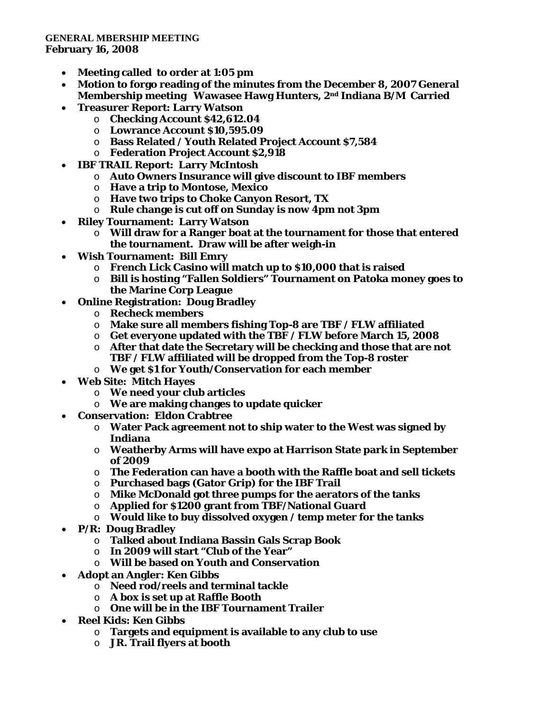## **GENERAL MBERSHIP MEETING February 16, 2008**

- **Meeting called to order at 1:05 pm**
- **Motion to forgo reading of the minutes from the December 8, 2007 General Membership meeting Wawasee Hawg Hunters, 2nd Indiana B/M Carried**
- **Treasurer Report: Larry Watson**
	- o **Checking Account \$42,612.04**
	- o **Lowrance Account \$10,595.09**
	- o **Bass Related / Youth Related Project Account \$7,584**
	- o **Federation Project Account \$2,918**
- **IBF TRAIL Report: Larry McIntosh**
	- o **Auto Owners Insurance will give discount to IBF members**
	- o **Have a trip to Montose, Mexico**
	- o **Have two trips to Choke Canyon Resort, TX**
	- o **Rule change is cut off on Sunday is now 4pm not 3pm**
- **Riley Tournament: Larry Watson**
	- o **Will draw for a Ranger boat at the tournament for those that entered the tournament. Draw will be after weigh-in**
- **Wish Tournament: Bill Emry**
	- o **French Lick Casino will match up to \$10,000 that is raised**
	- o **Bill is hosting "Fallen Soldiers" Tournament on Patoka money goes to the Marine Corp League**
- **Online Registration: Doug Bradley**
	- o **Recheck members**
	- o **Make sure all members fishing Top-8 are TBF / FLW affiliated**
	- o **Get everyone updated with the TBF / FLW before March 15, 2008**
	- o **After that date the Secretary will be checking and those that are not TBF / FLW affiliated will be dropped from the Top-8 roster**
	- o **We get \$1 for Youth/Conservation for each member**
- **Web Site: Mitch Hayes**
	- o **We need your club articles**
	- o **We are making changes to update quicker**
- **Conservation: Eldon Crabtree**
	- o **Water Pack agreement not to ship water to the West was signed by Indiana**
	- o **Weatherby Arms will have expo at Harrison State park in September of 2009**
	- o **The Federation can have a booth with the Raffle boat and sell tickets**
	- o **Purchased bags (Gator Grip) for the IBF Trail**
	- o **Mike McDonald got three pumps for the aerators of the tanks**
	- o **Applied for \$1200 grant from TBF/National Guard**
	- o **Would like to buy dissolved oxygen / temp meter for the tanks**
- **P/R: Doug Bradley**
	- o **Talked about Indiana Bassin Gals Scrap Book**
	- o **In 2009 will start "Club of the Year"**
	- o **Will be based on Youth and Conservation**
- **Adopt an Angler: Ken Gibbs**
	- o **Need rod/reels and terminal tackle**
	- o **A box is set up at Raffle Booth**
	- o **One will be in the IBF Tournament Trailer**
- **Reel Kids: Ken Gibbs** 
	- o **Targets and equipment is available to any club to use**
	- o **JR. Trail flyers at booth**